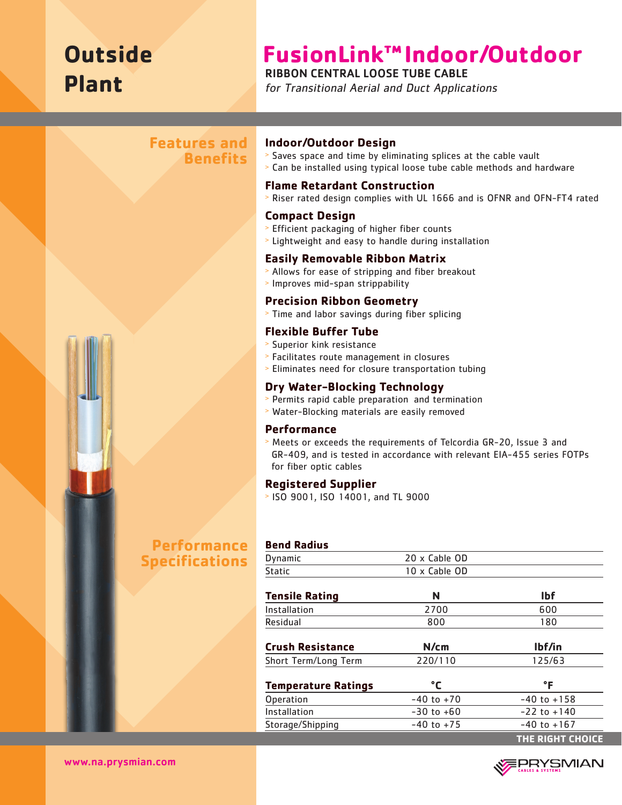# **Outside Plant**

## **FusionLink™Indoor/Outdoor**

### RIBBON CENTRAL LOOSE TUBE CABLE

for Transitional Aerial and Duct Applications

### **Features and Benefits**



## **Performance Specifications**

#### **Indoor/Outdoor Design**

- <sup>&</sup>gt; Saves space and time by eliminating splices at the cable vault
- <sup>&</sup>gt; Can be installed using typical loose tube cable methods and hardware

#### **Flame Retardant Construction**

<sup>&</sup>gt; Riser rated design complies with UL 1666 and is OFNR and OFN-FT4 rated

#### **Compact Design**

- <sup>&</sup>gt; Efficient packaging of higher fiber counts
- <sup>&</sup>gt; Lightweight and easy to handle during installation

#### **Easily Removable Ribbon Matrix**

- <sup>&</sup>gt; Allows for ease of stripping and fiber breakout
- <sup>&</sup>gt; Improves mid-span strippability

#### **Precision Ribbon Geometry**

<sup>&</sup>gt; Time and labor savings during fiber splicing

#### **Flexible Buffer Tube**

- > Superior kink resistance
- <sup>&</sup>gt; Facilitates route management in closures
- <sup>&</sup>gt; Eliminates need for closure transportation tubing

#### **Dry Water-Blocking Technology**

- <sup>&</sup>gt; Permits rapid cable preparation and termination
- <sup>&</sup>gt; Water-Blocking materials are easily removed

#### **Performance**

<sup>&</sup>gt; Meets or exceeds the requirements of Telcordia GR-20, Issue 3 and GR-409, and is tested in accordance with relevant EIA-455 series FOTPs for fiber optic cables

#### **Registered Supplier**

<sup>&</sup>gt; ISO 9001, ISO 14001, and TL 9000

## **Bend Radius**

| Dynamic                    | 20 x Cable OD  |                  |  |  |  |
|----------------------------|----------------|------------------|--|--|--|
| Static                     | 10 x Cable OD  |                  |  |  |  |
| <b>Tensile Rating</b>      | N              | <b>Ibf</b>       |  |  |  |
| Installation               | 2700           | 600              |  |  |  |
| Residual                   | 800            | 180              |  |  |  |
| <b>Crush Resistance</b>    | N/cm           | lbf/in           |  |  |  |
| Short Term/Long Term       | 220/110        | 125/63           |  |  |  |
| <b>Temperature Ratings</b> | °C             | $\mathsf{P}$     |  |  |  |
| <b>Operation</b>           | $-40$ to $+70$ | $-40$ to $+158$  |  |  |  |
| Installation               | $-30$ to $+60$ | $-22$ to $+140$  |  |  |  |
| Storage/Shipping           | $-40$ to $+75$ | $-40$ to $+167$  |  |  |  |
|                            |                | THE RIGHT CHOICE |  |  |  |



www.na.prysmian.com